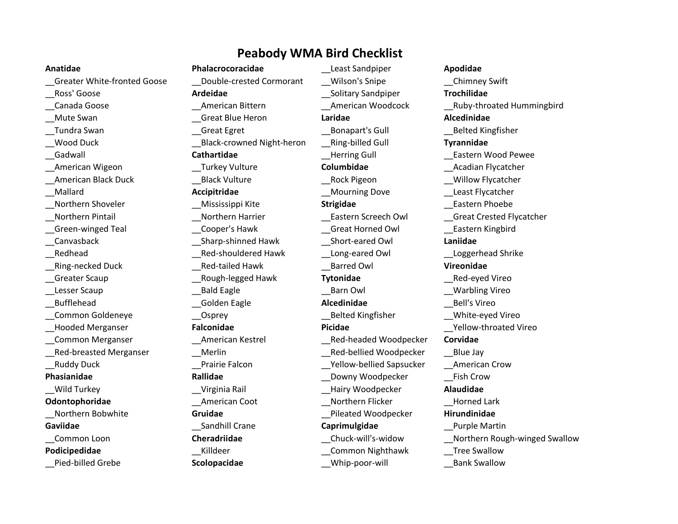# **Peabody WMA Bird Checklist**

\_\_Greater White-fronted Goose \_\_Double-crested Cormorant \_\_Wilson's Snipe \_\_Chimney Swift \_\_Ross' Goose **Ardeidae** \_\_Solitary Sandpiper **Trochilidae** \_\_Mute Swan \_\_Great Blue Heron **Laridae Alcedinidae** Tundra Swan Tundra Swan and Great Egret Constant Bonapart's Gull Tundra Swan Belted Kingfisher \_\_Wood Duck \_\_Black-crowned Night-heron \_\_Ring-billed Gull **Tyrannidae** \_\_Gadwall **Cathartidae** \_\_Herring Gull \_\_Eastern Wood Pewee \_\_American Wigeon \_\_Turkey Vulture **Columbidae** \_\_Acadian Flycatcher American Black Duck **Example 2 Constructs Black Vulture Rock Pigeon Example 2 Constructs Willow Flycatcher** \_\_Mallard **Accipitridae** \_\_Mourning Dove \_\_Least Flycatcher \_\_Northern Shoveler \_\_Mississippi Kite **Strigidae** \_\_Eastern Phoebe Northern Pintail **Northern Harrier Castern Screech Owl** Great Crested Flycatcher \_\_Green-winged Teal \_\_Cooper's Hawk \_\_Great Horned Owl \_\_Eastern Kingbird \_\_Canvasback \_\_Sharp-shinned Hawk \_\_Short-eared Owl **Laniidae** Redhead The Red-shouldered Hawk Long-eared Owl Loggerhead Shrike \_\_Ring-necked Duck \_\_Red-tailed Hawk \_\_Barred Owl **Vireonidae** \_\_Greater Scaup \_\_Rough-legged Hawk **Tytonidae** \_\_Red-eyed Vireo Lesser Scaup The Caup Control Bald Eagle The Caup Control Barn Owl Control of Marbling Vireo \_\_Bufflehead \_\_Golden Eagle **Alcedinidae** \_\_Bell's Vireo \_\_Common Goldeneye \_\_Osprey \_\_Belted Kingfisher \_\_White-eyed Vireo \_\_Hooded Merganser **Falconidae Picidae** \_\_Yellow-throated Vireo \_\_Common Merganser \_\_American Kestrel \_\_Red-headed Woodpecker **Corvidae** Red-breasted Merganser The Merlin Theorem and Red-bellied Woodpecker and Blue Jay \_\_Ruddy Duck \_\_Prairie Falcon \_\_Yellow-bellied Sapsucker \_\_American Crow **Phasianidae Rallidae Rallidae Rallidae Downy Woodpecker** Fish Crow \_\_Wild Turkey \_\_Virginia Rail \_\_Hairy Woodpecker **Alaudidae Odontophoridae American Coot Northern Flicker Horned Lark Coot** \_\_Northern Bobwhite **Gruidae** \_\_Pileated Woodpecker **Hirundinidae Gaviidae** Sandhill Crane **Caprimulgidae** Purple Martin **Podicipedidae** and **Example 20 and Series Example 20 and Series Common Nighthawk Tree Swallow** 

**Anatidae Phalacrocoracidae** \_\_Least Sandpiper **Apodidae** \_\_Pied-billed Grebe **Scolopacidae** \_\_Whip-poor-will \_\_Bank Swallow

\_\_Canada Goose \_\_American Bittern \_\_American Woodcock \_\_Ruby-throated Hummingbird \_\_Common Loon **Cheradriidae** \_\_Chuck-will's-widow \_\_Northern Rough-winged Swallow